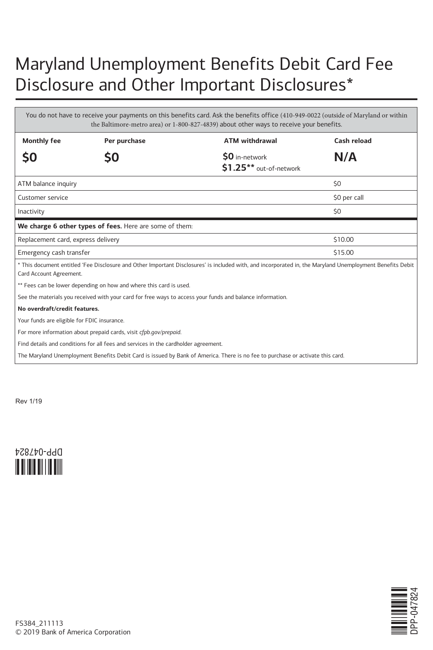## Maryland Unemployment Benefits Debit Card Fee Disclosure and Other Important Disclosures\*

You do not have to receive your payments on this benefits card. Ask the benefits office (410-949-0022 (outside of Maryland or within the Baltimore-metro area) or 1-800-827-4839) about other ways to receive your benefits. **Monthly fee Per purchase ATM withdrawal Cash reload \$0 \$0 \$0** in-network **\$1.25\*\*** out-of-network  **N/A** ATM balance inquiry  $\sim$  50 Customer service \$0 per call 30 per call 30 per call 30 per call 30 per call 30 per call 30 per call 30 per call 30 per call 30 per call 30 per call 30 per call 30 per call 30 per call 30 per call 30 per call 30 per call 3 است المستخدم المستخدم المستخدم المستخدم المستخدم المستخدم المستخدم المستخدم المستخدم المستخدم المستخدم المستخدم **We charge 6 other types of fees.** Here are some of them: Replacement card, express delivery  $$10.00$ Emergency cash transfer  $$15.00$ \* This document entitled 'Fee Disclosure and Other Important Disclosures' is included with, and incorporated in, the Maryland Unemployment Benefits Debit Card Account Agreement. \*\* Fees can be lower depending on how and where this card is used. See the materials you received with your card for free ways to access your funds and balance information. **No overdraft/credit features.** Your funds are eligible for FDIC insurance. For more information about prepaid cards, visit *cfpb.gov/prepaid*. Find details and conditions for all fees and services in the cardholder agreement. The Maryland Unemployment Benefits Debit Card is issued by Bank of America. There is no fee to purchase or activate this card.

Rev 1/19